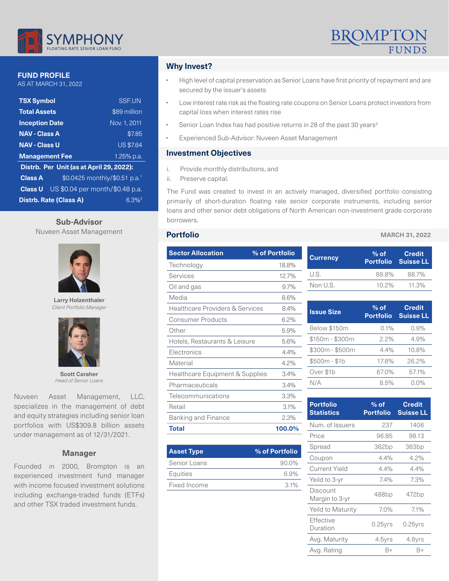

### **FUND PROFILE**

AS AT MARCH 31, 2022

| <b>TSX Symbol</b>                                           | <b>SSF.UN</b>    |  |  |
|-------------------------------------------------------------|------------------|--|--|
| <b>Total Assets</b>                                         | \$89 million     |  |  |
| <b>Inception Date</b>                                       | Nov. 1, 2011     |  |  |
| <b>NAV - Class A</b>                                        | \$7.85           |  |  |
| <b>NAV - Class U</b>                                        | <b>US \$7.64</b> |  |  |
| <b>Management Fee</b>                                       | 1.25% p.a.       |  |  |
| Distrb. Per Unit (as at April 29, 2022):                    |                  |  |  |
| \$0.0425 monthly/\$0.51 p.a. <sup>1</sup><br><b>Class A</b> |                  |  |  |
| US \$0.04 per month/\$0.48 p.a.<br><b>Class U</b>           |                  |  |  |
| <b>Distrb. Rate (Class A)</b><br>6.3% <sup>2</sup>          |                  |  |  |

# Sub-Advisor borrowers.

Nuveen Asset Management



**Larry Holzenthaler** *Client Portfolio Manager*



**Scott Caraher** *Head of Senior Loans*

Nuveen Asset Management, LLC, specializes in the management of debt and equity strategies including senior loan portfolios with US\$309.8 billion assets under management as of 12/31/2021.

#### **Manager**

Founded in 2000, Brompton is an experienced investment fund manager with income focused investment solutions including exchange-traded funds (ETFs) and other TSX traded investment funds.

# **Why Invest?**

- High level of capital preservation as Senior Loans have first priority of repayment and are secured by the issuer's assets
- Low interest rate risk as the floating rate coupons on Senior Loans protect investors from capital loss when interest rates rise
- Senior Loan Index has had positive returns in 28 of the past 30 years<sup>3</sup>
- Experienced Sub-Advisor: Nuveen Asset Management

# **Investment Objectives**

- i. Provide monthly distributions, and
- ii. Preserve capital.

The Fund was created to invest in an actively managed, diversified portfolio consisting primarily of short-duration floating rate senior corporate instruments, including senior loans and other senior debt obligations of North American non-investment grade corporate

### **Portfolio**

| <b>Sector Allocation</b>                   | % of Portfolio |
|--------------------------------------------|----------------|
| Technology                                 | 18.8%          |
| Services                                   | 12.7%          |
| Oil and gas                                | $9.7\%$        |
| Media                                      | 8.6%           |
| <b>Healthcare Providers &amp; Services</b> | 8.4%           |
| <b>Consumer Products</b>                   | 6.2%           |
| Other                                      | 5.9%           |
| Hotels, Restaurants & Leisure              | 5.6%           |
| Flectronics                                | 4.4%           |
| Material                                   | 4.2%           |
| Healthcare Equipment & Supplies            | $3.4\%$        |
| Pharmaceuticals                            | $3.4\%$        |
| Telecommunications                         | 3.3%           |
| Retail                                     | 3.1%           |
| <b>Banking and Finance</b>                 | 2.3%           |
| Total                                      | 100.0%         |

| <b>Asset Type</b> | % of Portfolio |
|-------------------|----------------|
| Senior Loans      | $90.0\%$       |
| Equities          | 6.9%           |
| Fixed Income      | $3.1\%$        |

#### **MARCH 31, 2022**

| <b>Currency</b> | $%$ of   | <b>Credit</b><br><b>Portfolio</b> Suisse LL |
|-----------------|----------|---------------------------------------------|
| U.S.            | 89.8%    | 88.7%                                       |
| Non U.S.        | $10.2\%$ | 11.3%                                       |

| <b>Issue Size</b> | $%$ of<br><b>Portfolio</b> | <b>Credit</b><br><b>Suisse LL</b> |
|-------------------|----------------------------|-----------------------------------|
| Below \$150m      | 0.1%                       | 0.9%                              |
| $$150m - $300m$   | $2.2\%$                    | 4.9%                              |
| $$300m - $500m$   | $4.4\%$                    | 10.8%                             |
| $$500m - $1b$     | 17.8%                      | 26.2%                             |
| Over \$1b         | 67.0%                      | 57.1%                             |
| NI/A              | 8.5%                       | 0.0%                              |

| <b>Portfolio</b><br><b>Statistics</b> | $%$ of<br><b>Portfolio</b> | <b>Credit</b><br><b>Suisse LL</b> |
|---------------------------------------|----------------------------|-----------------------------------|
| Num. of Issuers                       | 237                        | 1406                              |
| Price                                 | 96.85                      | 98.13                             |
| Spread                                | 362bp                      | 363bp                             |
| Coupon                                | 4.4%                       | $4.2\%$                           |
| Current Yield                         | 4.4%                       | 4.4%                              |
| Yeild to 3-yr                         | 7.4%                       | 7.3%                              |
| Discount<br>Margin to 3-yr            | 488bp                      | 472bp                             |
| Yeild to Maturity                     | 7.0%                       | $7.1\%$                           |
| Effective<br>Duration                 | $0.25$ yrs                 | $0.25$ yrs                        |
| Avg. Maturity                         | 4.5yrs                     | 4.8yrs                            |
| Avg. Rating                           | B+                         | B+                                |